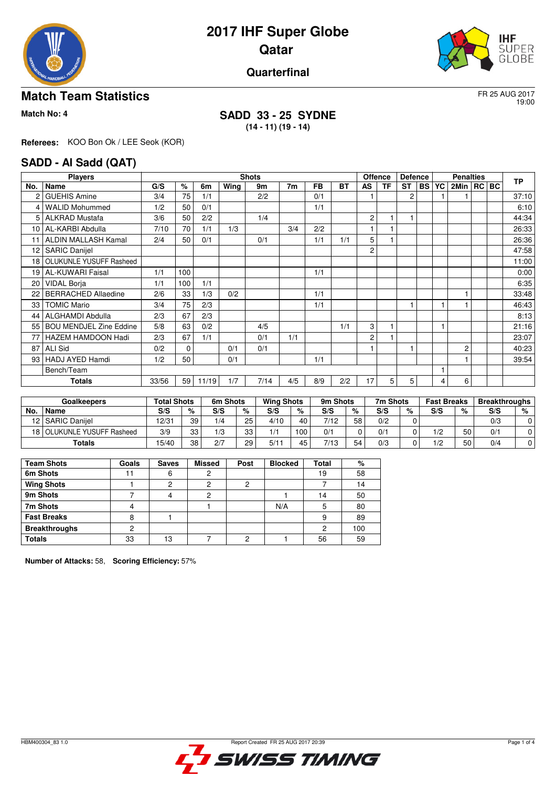



# **Quarterfinal**

## **Match Team Statistics** FR 25 AUG 2017

19:00

### **Match No: 4 SADD 33 - 25 SYDNE (14 - 11) (19 - 14)**

**Referees:** KOO Bon Ok / LEE Seok (KOR)

### **SADD - Al Sadd (QAT)**

|                 | <b>Players</b>                 |       |          |       |      | <b>Shots</b> |                |           |     |                | <b>Offence</b> | <b>Defence</b> |           |    | <b>Penalties</b> |  |  |           |
|-----------------|--------------------------------|-------|----------|-------|------|--------------|----------------|-----------|-----|----------------|----------------|----------------|-----------|----|------------------|--|--|-----------|
| No.             | Name                           | G/S   | %        | 6m    | Wing | 9m           | 7 <sub>m</sub> | <b>FB</b> | ВT  | AS             | <b>TF</b>      | ST             | <b>BS</b> | YC | 2Min   RC   BC   |  |  | <b>TP</b> |
| 2               | <b>GUEHIS Amine</b>            | 3/4   | 75       | 1/1   |      | 2/2          |                | 0/1       |     |                |                | 2              |           |    |                  |  |  | 37:10     |
| 4               | <b>WALID Mohummed</b>          | 1/2   | 50       | 0/1   |      |              |                | 1/1       |     |                |                |                |           |    |                  |  |  | 6:10      |
| 5               | <b>ALKRAD Mustafa</b>          | 3/6   | 50       | 2/2   |      | 1/4          |                |           |     | $\overline{c}$ |                |                |           |    |                  |  |  | 44:34     |
| 10 <sup>1</sup> | AL-KARBI Abdulla               | 7/10  | 70       | 1/1   | 1/3  |              | 3/4            | 2/2       |     |                |                |                |           |    |                  |  |  | 26:33     |
| 11              | <b>ALDIN MALLASH Kamal</b>     | 2/4   | 50       | 0/1   |      | 0/1          |                | 1/1       | 1/1 | 5              |                |                |           |    |                  |  |  | 26:36     |
| 12              | <b>SARIC Danijel</b>           |       |          |       |      |              |                |           |     | $\overline{2}$ |                |                |           |    |                  |  |  | 47:58     |
| 18 <sup>1</sup> | OLUKUNLE YUSUFF Rasheed        |       |          |       |      |              |                |           |     |                |                |                |           |    |                  |  |  | 11:00     |
| 19 I            | <b>AL-KUWARI Faisal</b>        | 1/1   | 100      |       |      |              |                | 1/1       |     |                |                |                |           |    |                  |  |  | 0:00      |
| 20              | <b>VIDAL Borja</b>             | 1/1   | 100      | 1/1   |      |              |                |           |     |                |                |                |           |    |                  |  |  | 6:35      |
| 22              | <b>BERRACHED Allaedine</b>     | 2/6   | 33       | 1/3   | 0/2  |              |                | 1/1       |     |                |                |                |           |    |                  |  |  | 33:48     |
| 33              | <b>TOMIC Mario</b>             | 3/4   | 75       | 2/3   |      |              |                | 1/1       |     |                |                |                |           |    |                  |  |  | 46:43     |
| 44              | <b>ALGHAMDI Abdulla</b>        | 2/3   | 67       | 2/3   |      |              |                |           |     |                |                |                |           |    |                  |  |  | 8:13      |
| 55              | <b>BOU MENDJEL Zine Eddine</b> | 5/8   | 63       | 0/2   |      | 4/5          |                |           | 1/1 | 3              | 1              |                |           |    |                  |  |  | 21:16     |
| 77              | HAZEM HAMDOON Hadi             | 2/3   | 67       | 1/1   |      | 0/1          | 1/1            |           |     | $\overline{c}$ |                |                |           |    |                  |  |  | 23:07     |
| 87              | <b>ALI Sid</b>                 | 0/2   | $\Omega$ |       | 0/1  | 0/1          |                |           |     |                |                |                |           |    | $\overline{c}$   |  |  | 40:23     |
|                 | 93   HADJ AYED Hamdi           | 1/2   | 50       |       | 0/1  |              |                | 1/1       |     |                |                |                |           |    |                  |  |  | 39:54     |
|                 | Bench/Team                     |       |          |       |      |              |                |           |     |                |                |                |           |    |                  |  |  |           |
|                 | <b>Totals</b>                  | 33/56 | 59       | 11/19 | 1/7  | 7/14         | 4/5            | 8/9       | 2/2 | 17             | 5              | 5              |           | 4  | 6                |  |  |           |

| <b>Goalkeepers</b> |                         | <b>Total Shots</b> |    | 6m Shots |    | <b>Wing Shots</b> |         | 9m Shots |    | 7m Shots |   | <b>Fast Breaks</b> |    | <b>Breakthroughs</b> |   |
|--------------------|-------------------------|--------------------|----|----------|----|-------------------|---------|----------|----|----------|---|--------------------|----|----------------------|---|
| No.                | <b>Name</b>             | S/S                | %  | S/S      | %  | S/S               | %       | S/S      | %  | S/S      | % | S/S                | %  | S/S                  | % |
|                    | 12   SARIC Daniiel      | 12/31              | 39 | 1/4      | 25 | 4/10              | 40      | 7/12     | 58 | 0/2      |   |                    |    | 0/3                  | 0 |
| 18 I               | OLUKUNLE YUSUFF Rasheed | 3/9                | 33 | 1/3      | 33 | 1/1               | $100 -$ | 0/1      |    | 0/1      |   | 1/2                | 50 | 0/1                  | 0 |
|                    | Totals                  | 15/40              | 38 | 2/7      | 29 | 5/1               | 45      | 7/13     | 54 | 0/3      |   | 1/2                | 50 | 0/4                  |   |

| <b>Team Shots</b>    | Goals | <b>Saves</b> | <b>Missed</b> | Post | <b>Blocked</b> | Total | %   |
|----------------------|-------|--------------|---------------|------|----------------|-------|-----|
| 6m Shots             |       | 6            |               |      |                | 19    | 58  |
| <b>Wing Shots</b>    |       | າ            | ົ             | າ    |                |       | 14  |
| 9m Shots             |       |              |               |      |                | 14    | 50  |
| 7m Shots             |       |              |               |      | N/A            | 5     | 80  |
| <b>Fast Breaks</b>   |       |              |               |      |                | 9     | 89  |
| <b>Breakthroughs</b> |       |              |               |      |                | 2     | 100 |
| <b>Totals</b>        | 33    | 13           |               |      |                | 56    | 59  |

**Number of Attacks:** 58, **Scoring Efficiency:** 57%

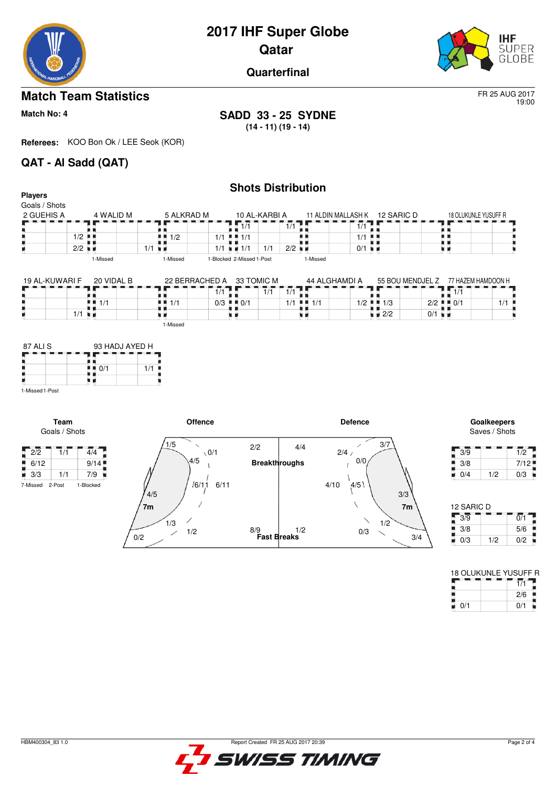



19:00

**Quarterfinal**

# **Match Team Statistics** FR 25 AUG 2017

**Match No: 4 SADD 33 - 25 SYDNE (14 - 11) (19 - 14)**

**Referees:** KOO Bon Ok / LEE Seok (KOR)

# **QAT - Al Sadd (QAT)**

|                                 |                              |                                                                    |                  |                | <b>Shots Distribution</b>                 |                      |                      |                                     |                      |                    |                      |                          |                              |
|---------------------------------|------------------------------|--------------------------------------------------------------------|------------------|----------------|-------------------------------------------|----------------------|----------------------|-------------------------------------|----------------------|--------------------|----------------------|--------------------------|------------------------------|
| <b>Players</b><br>Goals / Shots |                              |                                                                    |                  |                |                                           |                      |                      |                                     |                      |                    |                      |                          |                              |
| 2 GUEHIS A                      |                              | 4 WALID M                                                          |                  | 5 ALKRAD M     |                                           | 10 AL-KARBI A        |                      |                                     | 11 ALDIN MALLASH K   | 12 SARIC D         |                      |                          | 18 OLUKUNLE YUSUFF R         |
|                                 |                              |                                                                    |                  |                | $\overline{1/1}$                          |                      | 1/1                  |                                     | 1/1                  |                    |                      |                          |                              |
|                                 | $1/2$ $\blacksquare$         |                                                                    | . .<br>1/2       |                | $1/1$ $\parallel$ $\parallel$ $1/1$       |                      |                      |                                     | 1/1                  | л.                 |                      | . .                      |                              |
|                                 | $2/2$ $\blacksquare$         |                                                                    | 1/1<br>. .       |                | $1/1 = 1/1$                               | 1/1                  | $2/2$ $\blacksquare$ |                                     | $0/1$ $\blacksquare$ |                    |                      | . L<br>u a               |                              |
|                                 |                              | 1-Missed                                                           | 1-Missed         |                | 1-Blocked 2-Missed 1-Post                 |                      |                      | 1-Missed                            |                      |                    |                      |                          |                              |
|                                 |                              |                                                                    |                  |                |                                           |                      |                      |                                     |                      |                    |                      |                          |                              |
| 19 AL-KUWARI F                  |                              | 20 VIDAL B                                                         |                  | 22 BERRACHED A |                                           | 33 TOMIC M           |                      |                                     | 44 ALGHAMDI A        |                    | 55 BOU MENDJEL Z     |                          | 77 HAZEM HAMDOON H           |
|                                 |                              |                                                                    |                  | 1/1            |                                           | 1/1                  | 1/1                  |                                     |                      |                    |                      | $\overline{1/1}$         |                              |
|                                 |                              | $\blacksquare$ $\blacksquare$ $\blacksquare$ $\uparrow$ $\uparrow$ | 1/1<br>■         |                | $0/3$ $\blacksquare$ $\blacksquare$ $0/1$ |                      |                      | $1/1$ $\parallel$ $\parallel$ $1/1$ |                      | $1/2$     1/3      |                      | $2/2$ $\blacksquare$ 0/1 | 1/1                          |
|                                 | $1/1$ $\blacksquare$         |                                                                    |                  |                | . .<br>. .                                |                      |                      | ٠                                   |                      | $\blacksquare$ 2/2 | $0/1$ $\blacksquare$ |                          |                              |
|                                 |                              |                                                                    | 1-Missed         |                |                                           |                      |                      |                                     |                      |                    |                      |                          |                              |
| 87 ALI S                        |                              | 93 HADJ AYED H                                                     |                  |                |                                           |                      |                      |                                     |                      |                    |                      |                          |                              |
|                                 |                              | $\blacksquare$ $\blacksquare$ 0/1                                  | 1/1              |                |                                           |                      |                      |                                     |                      |                    |                      |                          |                              |
|                                 | u n                          |                                                                    |                  |                |                                           |                      |                      |                                     |                      |                    |                      |                          |                              |
| 1-Missed 1-Post                 |                              |                                                                    |                  |                |                                           |                      |                      |                                     |                      |                    |                      |                          |                              |
|                                 |                              |                                                                    |                  |                |                                           |                      |                      |                                     |                      |                    |                      |                          |                              |
|                                 | <b>Team</b><br>Goals / Shots |                                                                    |                  | <b>Offence</b> |                                           |                      |                      |                                     | <b>Defence</b>       |                    |                      |                          | Goalkeepers<br>Saves / Shots |
| $\sqrt{2/2}$                    | $\overline{4/4}$<br>1/1      |                                                                    | 1/5              | $\sqrt{0/1}$   | 2/2                                       |                      | 4/4                  |                                     | 2/4/                 | 3/7                |                      | Г<br>3/9                 |                              |
| 6/12<br>ш                       | 9/14                         |                                                                    |                  | 4/5            |                                           | <b>Breakthroughs</b> |                      |                                     | 0/0                  |                    |                      | 3/8                      |                              |
| $\blacksquare$ 3/3              | 1/1<br>7/9                   |                                                                    |                  |                |                                           |                      |                      |                                     |                      |                    |                      | 0/4<br>u.                | 1/2                          |
| 7-Missed 2-Post                 | 1-Blocked                    |                                                                    | $\overline{1/E}$ | /6/1.1<br>6/11 |                                           |                      |                      |                                     | 4/5<br>4/10          | 0/0                |                      |                          |                              |



| 3/9 |     | 1/2  |
|-----|-----|------|
| 3/8 |     | 7/12 |
| 0/4 | 1/2 | 0/3  |

| 12 SARIC D |     |
|------------|-----|
|            | 0/1 |
|            | 5/6 |
| 1/2        | 0/2 |
|            |     |

| 18 OLUKUNLE YUSUFF R |     |
|----------------------|-----|
|                      |     |
|                      | 2/6 |
| 0/1                  | 0/1 |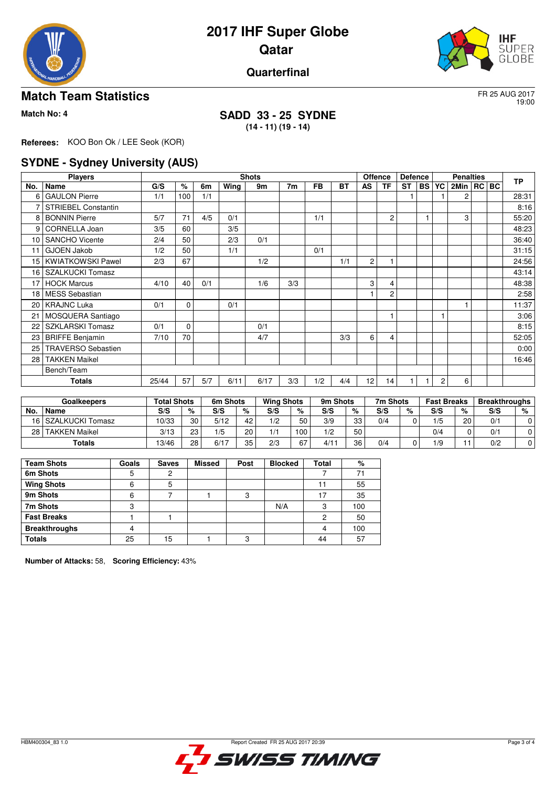



## **Quarterfinal**

## **Match Team Statistics** FR 25 AUG 2017

19:00

### **Match No: 4 SADD 33 - 25 SYDNE (14 - 11) (19 - 14)**

**Referees:** KOO Bon Ok / LEE Seok (KOR)

# **SYDNE - Sydney University (AUS)**

|                 | <b>Players</b>             |       | <b>Shots</b> |     |      |      |                |           |           |                |                | <b>Offence</b><br><b>Defence</b> |           |    | <b>Penalties</b> |  |  |           |
|-----------------|----------------------------|-------|--------------|-----|------|------|----------------|-----------|-----------|----------------|----------------|----------------------------------|-----------|----|------------------|--|--|-----------|
| No.             | Name                       | G/S   | %            | 6m  | Wing | 9m   | 7 <sub>m</sub> | <b>FB</b> | <b>BT</b> | AS             | <b>TF</b>      | <b>ST</b>                        | <b>BS</b> | YC | 2Min   RC   BC   |  |  | <b>TP</b> |
| 6               | <b>GAULON Pierre</b>       | 1/1   | 100          | 1/1 |      |      |                |           |           |                |                |                                  |           |    | 2                |  |  | 28:31     |
| 7               | <b>STRIEBEL Constantin</b> |       |              |     |      |      |                |           |           |                |                |                                  |           |    |                  |  |  | 8:16      |
| 8               | <b>BONNIN Pierre</b>       | 5/7   | 71           | 4/5 | 0/1  |      |                | 1/1       |           |                | 2              |                                  |           |    | 3                |  |  | 55:20     |
| 9               | CORNELLA Joan              | 3/5   | 60           |     | 3/5  |      |                |           |           |                |                |                                  |           |    |                  |  |  | 48:23     |
| 10              | <b>SANCHO Vicente</b>      | 2/4   | 50           |     | 2/3  | 0/1  |                |           |           |                |                |                                  |           |    |                  |  |  | 36:40     |
| 11              | <b>GJOEN Jakob</b>         | 1/2   | 50           |     | 1/1  |      |                | 0/1       |           |                |                |                                  |           |    |                  |  |  | 31:15     |
| 15 <sup>1</sup> | <b>KWIATKOWSKI Pawel</b>   | 2/3   | 67           |     |      | 1/2  |                |           | 1/1       | $\overline{2}$ |                |                                  |           |    |                  |  |  | 24:56     |
| 16              | <b>SZALKUCKI Tomasz</b>    |       |              |     |      |      |                |           |           |                |                |                                  |           |    |                  |  |  | 43:14     |
| 17              | <b>HOCK Marcus</b>         | 4/10  | 40           | 0/1 |      | 1/6  | 3/3            |           |           | 3              | 4              |                                  |           |    |                  |  |  | 48:38     |
| 18              | <b>MESS Sebastian</b>      |       |              |     |      |      |                |           |           |                | $\overline{c}$ |                                  |           |    |                  |  |  | 2:58      |
| 20              | <b>KRAJNC Luka</b>         | 0/1   | $\mathbf 0$  |     | 0/1  |      |                |           |           |                |                |                                  |           |    |                  |  |  | 11:37     |
| 21              | MOSQUERA Santiago          |       |              |     |      |      |                |           |           |                | $\mathbf{1}$   |                                  |           |    |                  |  |  | 3:06      |
| 22              | <b>SZKLARSKI Tomasz</b>    | 0/1   | $\mathbf 0$  |     |      | 0/1  |                |           |           |                |                |                                  |           |    |                  |  |  | 8:15      |
| 23              | <b>BRIFFE Benjamin</b>     | 7/10  | 70           |     |      | 4/7  |                |           | 3/3       | 6              | 4              |                                  |           |    |                  |  |  | 52:05     |
| 25              | <b>TRAVERSO Sebastien</b>  |       |              |     |      |      |                |           |           |                |                |                                  |           |    |                  |  |  | 0:00      |
| 28              | <b>TAKKEN Maikel</b>       |       |              |     |      |      |                |           |           |                |                |                                  |           |    |                  |  |  | 16:46     |
|                 | Bench/Team                 |       |              |     |      |      |                |           |           |                |                |                                  |           |    |                  |  |  |           |
|                 | <b>Totals</b>              | 25/44 | 57           | 5/7 | 6/11 | 6/17 | 3/3            | 1/2       | 4/4       | 12             | 14             |                                  |           | 2  | 6                |  |  |           |

| Goalkeepers |                      | <b>Total Shots</b> |    | 6m Shots |    | <b>Wing Shots</b> |     | 9m Shots |    | 7m Shots |   | <b>Fast Breaks</b> |    | <b>Breakthroughs</b> |   |
|-------------|----------------------|--------------------|----|----------|----|-------------------|-----|----------|----|----------|---|--------------------|----|----------------------|---|
| No.         | Name                 | S/S                | %  | S/S      | %  | S/S               | %   | S/S      | %  | S/S      | % | S/S                | %  | S/S                  | % |
|             | 16 SZALKUCKI Tomasz  | 10/33              | 30 | 5/12     | 42 | 1/2               | 50  | 3/9      | 33 | 0/4      |   | 1/5                | 20 | 0/1                  |   |
| 28          | <b>TAKKEN Maikel</b> | 3/13               | 23 | 1/5      | 20 | $-1/4$            | 100 | 1/2      | 50 |          |   | 0/4                |    | 0/1                  |   |
|             | Totals               | 13/46              | 28 | 6/17     | 35 | 2/3               | 67  | 4/1      | 36 | 0/4      |   | 1/9                |    | 0/2                  |   |

| <b>Team Shots</b>    | Goals | <b>Saves</b> | <b>Missed</b> | Post   | <b>Blocked</b> | Total | %   |
|----------------------|-------|--------------|---------------|--------|----------------|-------|-----|
| 6m Shots             |       |              |               |        |                |       | 71  |
| <b>Wing Shots</b>    | 6     | 5            |               |        |                |       | 55  |
| 9m Shots             | 6     |              |               | ິ<br>ت |                | 17    | 35  |
| 7m Shots             | 3     |              |               |        | N/A            | 3     | 100 |
| <b>Fast Breaks</b>   |       |              |               |        |                | 2     | 50  |
| <b>Breakthroughs</b> |       |              |               |        |                |       | 100 |
| <b>Totals</b>        | 25    | 15           |               | c      |                | 44    | 57  |

**Number of Attacks:** 58, **Scoring Efficiency:** 43%